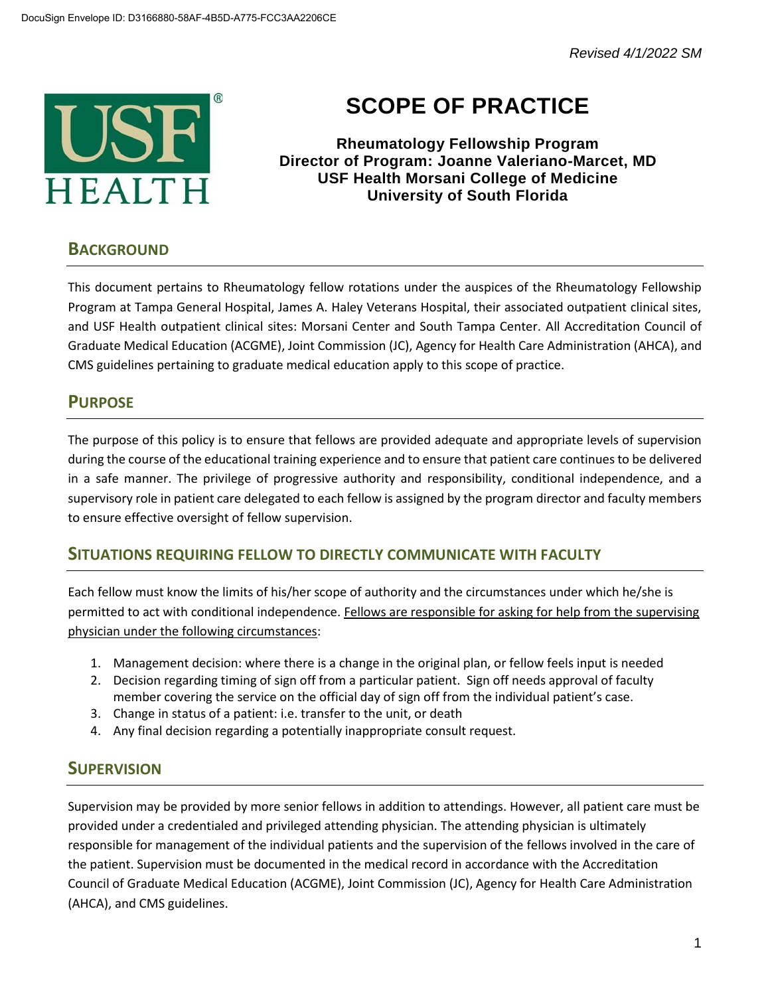*Revised 4/1/2022 SM*



# **SCOPE OF PRACTICE**

**Rheumatology Fellowship Program Director of Program: Joanne Valeriano-Marcet, MD USF Health Morsani College of Medicine University of South Florida**

## **BACKGROUND**

This document pertains to Rheumatology fellow rotations under the auspices of the Rheumatology Fellowship Program at Tampa General Hospital, James A. Haley Veterans Hospital, their associated outpatient clinical sites, and USF Health outpatient clinical sites: Morsani Center and South Tampa Center. All Accreditation Council of Graduate Medical Education (ACGME), Joint Commission (JC), Agency for Health Care Administration (AHCA), and CMS guidelines pertaining to graduate medical education apply to this scope of practice.

# **PURPOSE**

The purpose of this policy is to ensure that fellows are provided adequate and appropriate levels of supervision during the course of the educational training experience and to ensure that patient care continues to be delivered in a safe manner. The privilege of progressive authority and responsibility, conditional independence, and a supervisory role in patient care delegated to each fellow is assigned by the program director and faculty members to ensure effective oversight of fellow supervision.

## **SITUATIONS REQUIRING FELLOW TO DIRECTLY COMMUNICATE WITH FACULTY**

Each fellow must know the limits of his/her scope of authority and the circumstances under which he/she is permitted to act with conditional independence. Fellows are responsible for asking for help from the supervising physician under the following circumstances:

- 1. Management decision: where there is a change in the original plan, or fellow feels input is needed
- 2. Decision regarding timing of sign off from a particular patient. Sign off needs approval of faculty member covering the service on the official day of sign off from the individual patient's case.
- 3. Change in status of a patient: i.e. transfer to the unit, or death
- 4. Any final decision regarding a potentially inappropriate consult request.

## **SUPERVISION**

Supervision may be provided by more senior fellows in addition to attendings. However, all patient care must be provided under a credentialed and privileged attending physician. The attending physician is ultimately responsible for management of the individual patients and the supervision of the fellows involved in the care of the patient. Supervision must be documented in the medical record in accordance with the Accreditation Council of Graduate Medical Education (ACGME), Joint Commission (JC), Agency for Health Care Administration (AHCA), and CMS guidelines.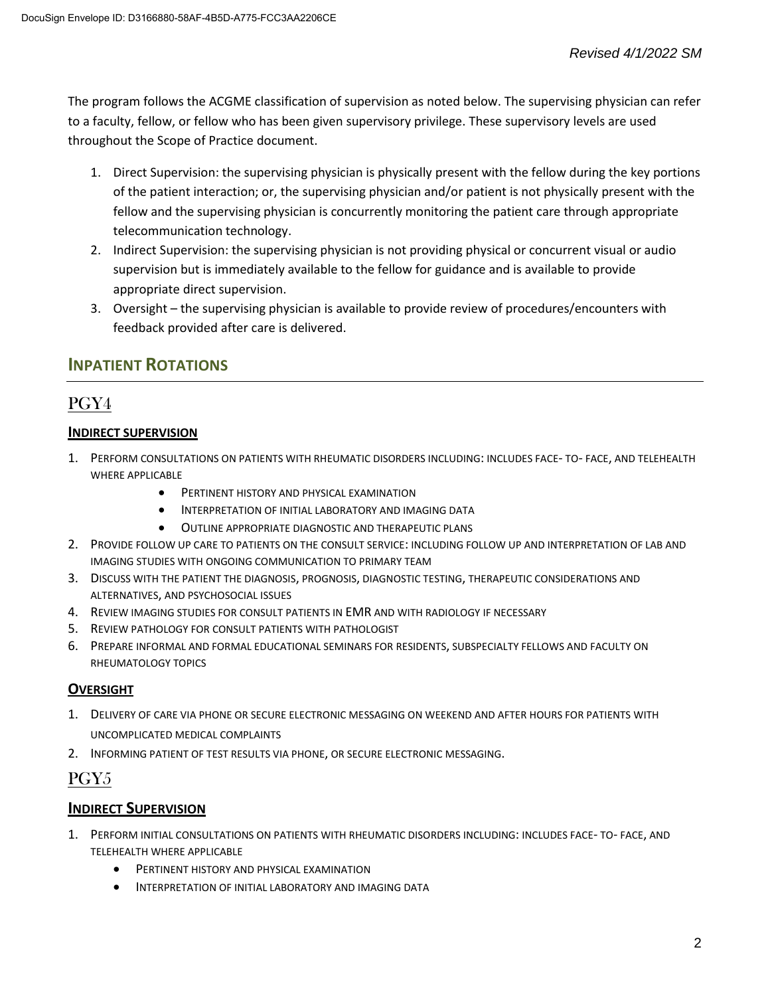The program follows the ACGME classification of supervision as noted below. The supervising physician can refer to a faculty, fellow, or fellow who has been given supervisory privilege. These supervisory levels are used throughout the Scope of Practice document.

- 1. Direct Supervision: the supervising physician is physically present with the fellow during the key portions of the patient interaction; or, the supervising physician and/or patient is not physically present with the fellow and the supervising physician is concurrently monitoring the patient care through appropriate telecommunication technology.
- 2. Indirect Supervision: the supervising physician is not providing physical or concurrent visual or audio supervision but is immediately available to the fellow for guidance and is available to provide appropriate direct supervision.
- 3. Oversight the supervising physician is available to provide review of procedures/encounters with feedback provided after care is delivered.

## **INPATIENT ROTATIONS**

# PGY4

#### **INDIRECT SUPERVISION**

- 1. PERFORM CONSULTATIONS ON PATIENTS WITH RHEUMATIC DISORDERS INCLUDING: INCLUDES FACE- TO- FACE, AND TELEHEALTH WHERE APPLICABLE
	- **•** PERTINENT HISTORY AND PHYSICAL EXAMINATION
	- INTERPRETATION OF INITIAL LABORATORY AND IMAGING DATA
	- OUTLINE APPROPRIATE DIAGNOSTIC AND THERAPEUTIC PLANS
- 2. PROVIDE FOLLOW UP CARE TO PATIENTS ON THE CONSULT SERVICE: INCLUDING FOLLOW UP AND INTERPRETATION OF LAB AND IMAGING STUDIES WITH ONGOING COMMUNICATION TO PRIMARY TEAM
- 3. DISCUSS WITH THE PATIENT THE DIAGNOSIS, PROGNOSIS, DIAGNOSTIC TESTING, THERAPEUTIC CONSIDERATIONS AND ALTERNATIVES, AND PSYCHOSOCIAL ISSUES
- 4. REVIEW IMAGING STUDIES FOR CONSULT PATIENTS IN EMR AND WITH RADIOLOGY IF NECESSARY
- 5. REVIEW PATHOLOGY FOR CONSULT PATIENTS WITH PATHOLOGIST
- 6. PREPARE INFORMAL AND FORMAL EDUCATIONAL SEMINARS FOR RESIDENTS, SUBSPECIALTY FELLOWS AND FACULTY ON RHEUMATOLOGY TOPICS

#### **OVERSIGHT**

- 1. DELIVERY OF CARE VIA PHONE OR SECURE ELECTRONIC MESSAGING ON WEEKEND AND AFTER HOURS FOR PATIENTS WITH UNCOMPLICATED MEDICAL COMPLAINTS
- 2. INFORMING PATIENT OF TEST RESULTS VIA PHONE, OR SECURE ELECTRONIC MESSAGING.

# PGY5

#### **INDIRECT SUPERVISION**

- 1. PERFORM INITIAL CONSULTATIONS ON PATIENTS WITH RHEUMATIC DISORDERS INCLUDING: INCLUDES FACE- TO- FACE, AND TELEHEALTH WHERE APPLICABLE
	- PERTINENT HISTORY AND PHYSICAL EXAMINATION
	- INTERPRETATION OF INITIAL LABORATORY AND IMAGING DATA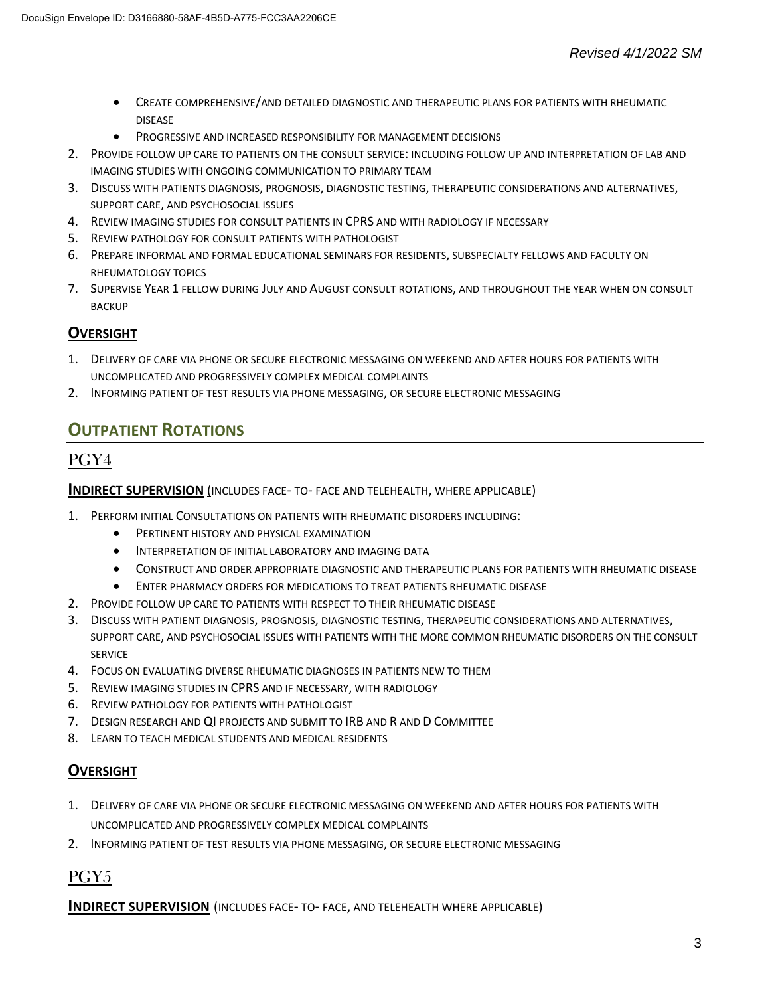- CREATE COMPREHENSIVE/AND DETAILED DIAGNOSTIC AND THERAPEUTIC PLANS FOR PATIENTS WITH RHEUMATIC DISEASE
- PROGRESSIVE AND INCREASED RESPONSIBILITY FOR MANAGEMENT DECISIONS
- 2. PROVIDE FOLLOW UP CARE TO PATIENTS ON THE CONSULT SERVICE: INCLUDING FOLLOW UP AND INTERPRETATION OF LAB AND IMAGING STUDIES WITH ONGOING COMMUNICATION TO PRIMARY TEAM
- 3. DISCUSS WITH PATIENTS DIAGNOSIS, PROGNOSIS, DIAGNOSTIC TESTING, THERAPEUTIC CONSIDERATIONS AND ALTERNATIVES, SUPPORT CARE, AND PSYCHOSOCIAL ISSUES
- 4. REVIEW IMAGING STUDIES FOR CONSULT PATIENTS IN CPRS AND WITH RADIOLOGY IF NECESSARY
- 5. REVIEW PATHOLOGY FOR CONSULT PATIENTS WITH PATHOLOGIST
- 6. PREPARE INFORMAL AND FORMAL EDUCATIONAL SEMINARS FOR RESIDENTS, SUBSPECIALTY FELLOWS AND FACULTY ON RHEUMATOLOGY TOPICS
- 7. SUPERVISE YEAR 1 FELLOW DURING JULY AND AUGUST CONSULT ROTATIONS, AND THROUGHOUT THE YEAR WHEN ON CONSULT BACKUP

#### **OVERSIGHT**

- 1. DELIVERY OF CARE VIA PHONE OR SECURE ELECTRONIC MESSAGING ON WEEKEND AND AFTER HOURS FOR PATIENTS WITH UNCOMPLICATED AND PROGRESSIVELY COMPLEX MEDICAL COMPLAINTS
- 2. INFORMING PATIENT OF TEST RESULTS VIA PHONE MESSAGING, OR SECURE ELECTRONIC MESSAGING

# **OUTPATIENT ROTATIONS**

## PGY4

#### **INDIRECT SUPERVISION** (INCLUDES FACE- TO- FACE AND TELEHEALTH, WHERE APPLICABLE)

- 1. PERFORM INITIAL CONSULTATIONS ON PATIENTS WITH RHEUMATIC DISORDERS INCLUDING:
	- **•** PERTINENT HISTORY AND PHYSICAL EXAMINATION
	- INTERPRETATION OF INITIAL LABORATORY AND IMAGING DATA
	- CONSTRUCT AND ORDER APPROPRIATE DIAGNOSTIC AND THERAPEUTIC PLANS FOR PATIENTS WITH RHEUMATIC DISEASE
	- ENTER PHARMACY ORDERS FOR MEDICATIONS TO TREAT PATIENTS RHEUMATIC DISEASE
- 2. PROVIDE FOLLOW UP CARE TO PATIENTS WITH RESPECT TO THEIR RHEUMATIC DISEASE
- 3. DISCUSS WITH PATIENT DIAGNOSIS, PROGNOSIS, DIAGNOSTIC TESTING, THERAPEUTIC CONSIDERATIONS AND ALTERNATIVES, SUPPORT CARE, AND PSYCHOSOCIAL ISSUES WITH PATIENTS WITH THE MORE COMMON RHEUMATIC DISORDERS ON THE CONSULT **SERVICE**
- 4. FOCUS ON EVALUATING DIVERSE RHEUMATIC DIAGNOSES IN PATIENTS NEW TO THEM
- 5. REVIEW IMAGING STUDIES IN CPRS AND IF NECESSARY, WITH RADIOLOGY
- 6. REVIEW PATHOLOGY FOR PATIENTS WITH PATHOLOGIST
- 7. DESIGN RESEARCH AND QI PROJECTS AND SUBMIT TO IRB AND R AND D COMMITTEE
- 8. LEARN TO TEACH MEDICAL STUDENTS AND MEDICAL RESIDENTS

#### **OVERSIGHT**

- 1. DELIVERY OF CARE VIA PHONE OR SECURE ELECTRONIC MESSAGING ON WEEKEND AND AFTER HOURS FOR PATIENTS WITH UNCOMPLICATED AND PROGRESSIVELY COMPLEX MEDICAL COMPLAINTS
- 2. INFORMING PATIENT OF TEST RESULTS VIA PHONE MESSAGING, OR SECURE ELECTRONIC MESSAGING

# PGY5

**INDIRECT SUPERVISION** (INCLUDES FACE- TO- FACE, AND TELEHEALTH WHERE APPLICABLE)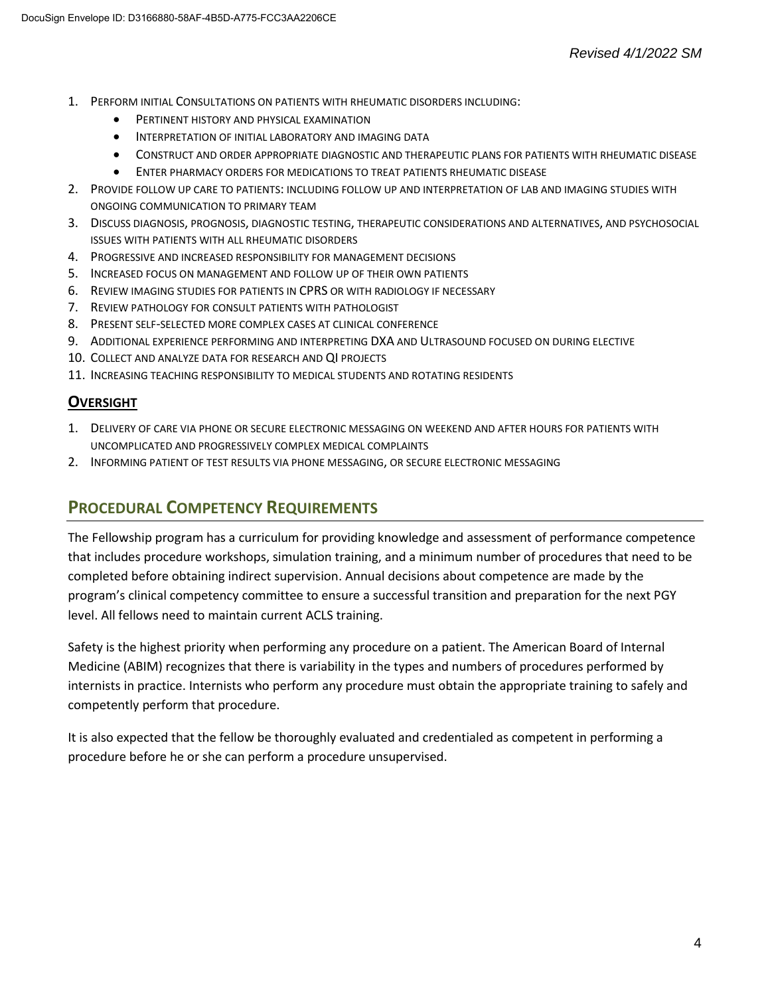- 1. PERFORM INITIAL CONSULTATIONS ON PATIENTS WITH RHEUMATIC DISORDERS INCLUDING:
	- PERTINENT HISTORY AND PHYSICAL EXAMINATION
	- INTERPRETATION OF INITIAL LABORATORY AND IMAGING DATA
	- CONSTRUCT AND ORDER APPROPRIATE DIAGNOSTIC AND THERAPEUTIC PLANS FOR PATIENTS WITH RHEUMATIC DISEASE
	- ENTER PHARMACY ORDERS FOR MEDICATIONS TO TREAT PATIENTS RHEUMATIC DISEASE
- 2. PROVIDE FOLLOW UP CARE TO PATIENTS: INCLUDING FOLLOW UP AND INTERPRETATION OF LAB AND IMAGING STUDIES WITH ONGOING COMMUNICATION TO PRIMARY TEAM
- 3. DISCUSS DIAGNOSIS, PROGNOSIS, DIAGNOSTIC TESTING, THERAPEUTIC CONSIDERATIONS AND ALTERNATIVES, AND PSYCHOSOCIAL ISSUES WITH PATIENTS WITH ALL RHEUMATIC DISORDERS
- 4. PROGRESSIVE AND INCREASED RESPONSIBILITY FOR MANAGEMENT DECISIONS
- 5. INCREASED FOCUS ON MANAGEMENT AND FOLLOW UP OF THEIR OWN PATIENTS
- 6. REVIEW IMAGING STUDIES FOR PATIENTS IN CPRS OR WITH RADIOLOGY IF NECESSARY
- 7. REVIEW PATHOLOGY FOR CONSULT PATIENTS WITH PATHOLOGIST
- 8. PRESENT SELF-SELECTED MORE COMPLEX CASES AT CLINICAL CONFERENCE
- 9. ADDITIONAL EXPERIENCE PERFORMING AND INTERPRETING DXA AND ULTRASOUND FOCUSED ON DURING ELECTIVE
- 10. COLLECT AND ANALYZE DATA FOR RESEARCH AND QI PROJECTS
- 11. INCREASING TEACHING RESPONSIBILITY TO MEDICAL STUDENTS AND ROTATING RESIDENTS

#### **OVERSIGHT**

- 1. DELIVERY OF CARE VIA PHONE OR SECURE ELECTRONIC MESSAGING ON WEEKEND AND AFTER HOURS FOR PATIENTS WITH UNCOMPLICATED AND PROGRESSIVELY COMPLEX MEDICAL COMPLAINTS
- 2. INFORMING PATIENT OF TEST RESULTS VIA PHONE MESSAGING, OR SECURE ELECTRONIC MESSAGING

## **PROCEDURAL COMPETENCY REQUIREMENTS**

The Fellowship program has a curriculum for providing knowledge and assessment of performance competence that includes procedure workshops, simulation training, and a minimum number of procedures that need to be completed before obtaining indirect supervision. Annual decisions about competence are made by the program's clinical competency committee to ensure a successful transition and preparation for the next PGY level. All fellows need to maintain current ACLS training.

Safety is the highest priority when performing any procedure on a patient. The American Board of Internal Medicine (ABIM) recognizes that there is variability in the types and numbers of procedures performed by internists in practice. Internists who perform any procedure must obtain the appropriate training to safely and competently perform that procedure.

It is also expected that the fellow be thoroughly evaluated and credentialed as competent in performing a procedure before he or she can perform a procedure unsupervised.